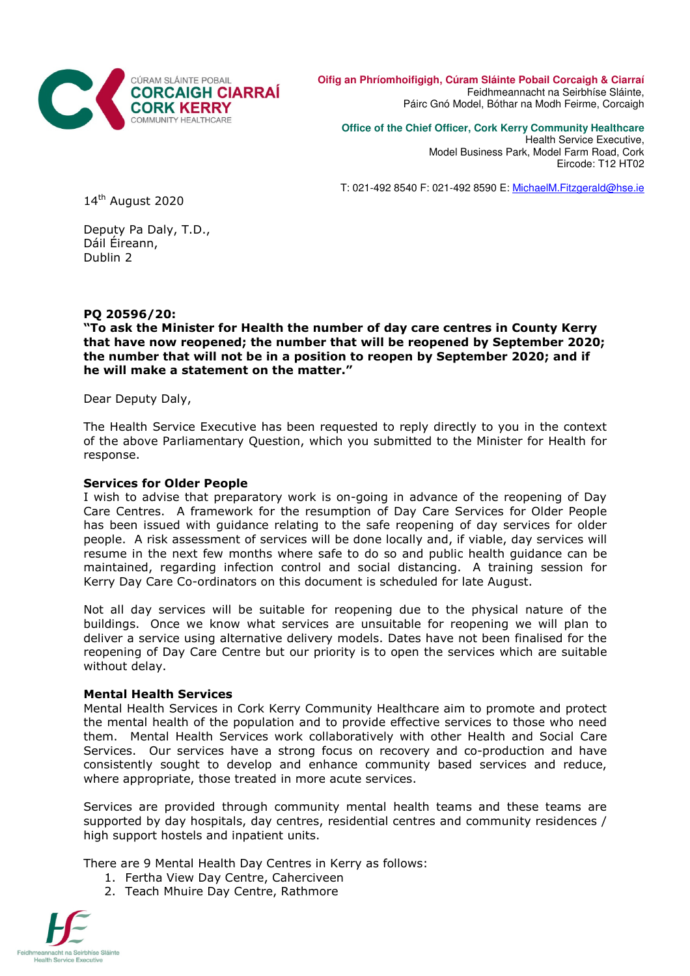

**Oifig an Phríomhoifigigh, Cúram Sláinte Pobail Corcaigh & Ciarraí** Feidhmeannacht na Seirbhíse Sláinte, Páirc Gnó Model, Bóthar na Modh Feirme, Corcaigh

**Office of the Chief Officer, Cork Kerry Community Healthcare** 

Health Service Executive, Model Business Park, Model Farm Road, Cork Eircode: T12 HT02

T: 021-492 8540 F: 021-492 8590 E: MichaelM.Fitzgerald@hse.ie

14<sup>th</sup> August 2020

Deputy Pa Daly, T.D., Dáil Éireann, Dublin 2

PQ 20596/20:

"To ask the Minister for Health the number of day care centres in County Kerry that have now reopened; the number that will be reopened by September 2020; the number that will not be in a position to reopen by September 2020; and if he will make a statement on the matter."

Dear Deputy Daly,

The Health Service Executive has been requested to reply directly to you in the context of the above Parliamentary Question, which you submitted to the Minister for Health for response.

## Services for Older People

I wish to advise that preparatory work is on-going in advance of the reopening of Day Care Centres. A framework for the resumption of Day Care Services for Older People has been issued with guidance relating to the safe reopening of day services for older people. A risk assessment of services will be done locally and, if viable, day services will resume in the next few months where safe to do so and public health guidance can be maintained, regarding infection control and social distancing. A training session for Kerry Day Care Co-ordinators on this document is scheduled for late August.

Not all day services will be suitable for reopening due to the physical nature of the buildings. Once we know what services are unsuitable for reopening we will plan to deliver a service using alternative delivery models. Dates have not been finalised for the reopening of Day Care Centre but our priority is to open the services which are suitable without delay.

## Mental Health Services

Mental Health Services in Cork Kerry Community Healthcare aim to promote and protect the mental health of the population and to provide effective services to those who need them. Mental Health Services work collaboratively with other Health and Social Care Services. Our services have a strong focus on recovery and co-production and have consistently sought to develop and enhance community based services and reduce, where appropriate, those treated in more acute services.

Services are provided through community mental health teams and these teams are supported by day hospitals, day centres, residential centres and community residences / high support hostels and inpatient units.

There are 9 Mental Health Day Centres in Kerry as follows:

- 1. Fertha View Day Centre, Caherciveen
- 2. Teach Mhuire Day Centre, Rathmore